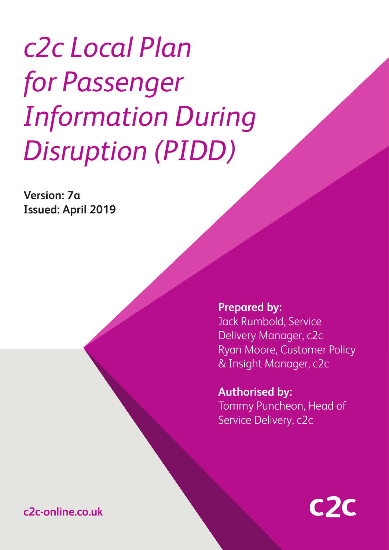# *c2c Local Plan for Passenger Information During Disruption (PIDD)*

**Version: 7a Issued: April 2019**

> **Prepared by:** Jack Rumbold, Service Delivery Manager, c2c Ryan Moore, Customer Policy & Insight Manager, c2c

**Authorised by:** Tommy Puncheon, Head of Service Delivery, c2c



**<sup>1</sup> c2c-online.co.uk**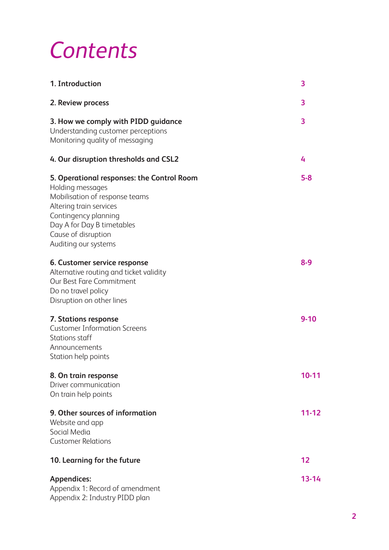## *Contents*

| 1. Introduction                                                                                                                                                                                                                  | 3         |
|----------------------------------------------------------------------------------------------------------------------------------------------------------------------------------------------------------------------------------|-----------|
| 2. Review process                                                                                                                                                                                                                | 3         |
| 3. How we comply with PIDD guidance<br>Understanding customer perceptions<br>Monitoring quality of messaging                                                                                                                     | 3         |
| 4. Our disruption thresholds and CSL2                                                                                                                                                                                            | 4         |
| 5. Operational responses: the Control Room<br>Holding messages<br>Mobilisation of response teams<br>Altering train services<br>Contingency planning<br>Day A for Day B timetables<br>Cause of disruption<br>Auditing our systems | $5 - 8$   |
| 6. Customer service response<br>Alternative routing and ticket validity<br>Our Best Fare Commitment<br>Do no travel policy<br>Disruption on other lines                                                                          | $8 - 9$   |
| 7. Stations response<br><b>Customer Information Screens</b><br>Stations staff<br>Announcements<br>Station help points                                                                                                            | $9 - 10$  |
| 8. On train response<br>Driver communication<br>On train help points                                                                                                                                                             | $10 - 11$ |
| 9. Other sources of information<br>Website and app<br>Social Media<br><b>Customer Relations</b>                                                                                                                                  | $11 - 12$ |
| 10. Learning for the future                                                                                                                                                                                                      | 12        |
| <b>Appendices:</b><br>Appendix 1: Record of amendment<br>Appendix 2: Industry PIDD plan                                                                                                                                          | $13 - 14$ |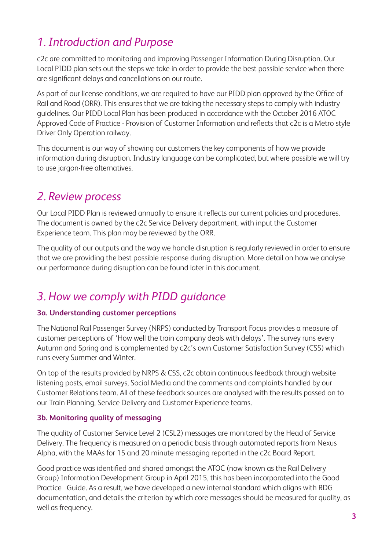## *1. Introduction and Purpose*

c2c are committed to monitoring and improving Passenger Information During Disruption. Our Local PIDD plan sets out the steps we take in order to provide the best possible service when there are significant delays and cancellations on our route.

As part of our license conditions, we are required to have our PIDD plan approved by the Office of Rail and Road (ORR). This ensures that we are taking the necessary steps to comply with industry guidelines. Our PIDD Local Plan has been produced in accordance with the October 2016 ATOC Approved Code of Practice - Provision of Customer Information and reflects that c2c is a Metro style Driver Only Operation railway.

This document is our way of showing our customers the key components of how we provide information during disruption. Industry language can be complicated, but where possible we will try to use jargon-free alternatives.

## *2. Review process*

Our Local PIDD Plan is reviewed annually to ensure it reflects our current policies and procedures. The document is owned by the c2c Service Delivery department, with input the Customer Experience team. This plan may be reviewed by the ORR.

The quality of our outputs and the way we handle disruption is regularly reviewed in order to ensure that we are providing the best possible response during disruption. More detail on how we analyse our performance during disruption can be found later in this document.

## *3. How we comply with PIDD guidance*

#### **3a. Understanding customer perceptions**

The National Rail Passenger Survey (NRPS) conducted by Transport Focus provides a measure of customer perceptions of 'How well the train company deals with delays'. The survey runs every Autumn and Spring and is complemented by c2c's own Customer Satisfaction Survey (CSS) which runs every Summer and Winter.

On top of the results provided by NRPS & CSS, c2c obtain continuous feedback through website listening posts, email surveys, Social Media and the comments and complaints handled by our Customer Relations team. All of these feedback sources are analysed with the results passed on to our Train Planning, Service Delivery and Customer Experience teams.

#### **3b. Monitoring quality of messaging**

The quality of Customer Service Level 2 (CSL2) messages are monitored by the Head of Service Delivery. The frequency is measured on a periodic basis through automated reports from Nexus Alpha, with the MAAs for 15 and 20 minute messaging reported in the c2c Board Report.

Good practice was identified and shared amongst the ATOC (now known as the Rail Delivery Group) Information Development Group in April 2015, this has been incorporated into the Good Practice Guide. As a result, we have developed a new internal standard which aligns with RDG documentation, and details the criterion by which core messages should be measured for quality, as well as frequency.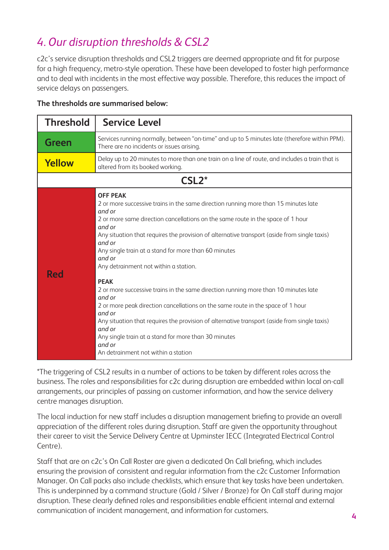## *4. Our disruption thresholds & CSL2*

c2c's service disruption thresholds and CSL2 triggers are deemed appropriate and fit for purpose for a high frequency, metro-style operation. These have been developed to foster high performance and to deal with incidents in the most effective way possible. Therefore, this reduces the impact of service delays on passengers.

| יטוסים ומשפח מוכן שנות המוסדות שנוסי |                                                                                                                                                                                                                                                                                                                                                                                                                                                                                                                                                                                                                                                                                                                                                                                                                             |  |  |  |
|--------------------------------------|-----------------------------------------------------------------------------------------------------------------------------------------------------------------------------------------------------------------------------------------------------------------------------------------------------------------------------------------------------------------------------------------------------------------------------------------------------------------------------------------------------------------------------------------------------------------------------------------------------------------------------------------------------------------------------------------------------------------------------------------------------------------------------------------------------------------------------|--|--|--|
| <b>Threshold</b>                     | <b>Service Level</b>                                                                                                                                                                                                                                                                                                                                                                                                                                                                                                                                                                                                                                                                                                                                                                                                        |  |  |  |
| <b>Green</b>                         | Services running normally, between "on-time" and up to 5 minutes late (therefore within PPM).<br>There are no incidents or issues arising.                                                                                                                                                                                                                                                                                                                                                                                                                                                                                                                                                                                                                                                                                  |  |  |  |
| Yellow                               | Delay up to 20 minutes to more than one train on a line of route, and includes a train that is<br>altered from its booked working.                                                                                                                                                                                                                                                                                                                                                                                                                                                                                                                                                                                                                                                                                          |  |  |  |
|                                      | $CSL2*$                                                                                                                                                                                                                                                                                                                                                                                                                                                                                                                                                                                                                                                                                                                                                                                                                     |  |  |  |
| <b>Red</b>                           | <b>OFF PEAK</b><br>2 or more successive trains in the same direction running more than 15 minutes late<br>and or<br>2 or more same direction cancellations on the same route in the space of 1 hour<br>and or<br>Any situation that requires the provision of alternative transport (aside from single taxis)<br>and or<br>Any single train at a stand for more than 60 minutes<br>and or<br>Any detrainment not within a station.<br><b>PEAK</b><br>2 or more successive trains in the same direction running more than 10 minutes late<br>and or<br>2 or more peak direction cancellations on the same route in the space of 1 hour<br>and or<br>Any situation that requires the provision of alternative transport (aside from single taxis)<br>and or<br>Any single train at a stand for more than 30 minutes<br>and or |  |  |  |

#### **The thresholds are summarised below:**

\*The triggering of CSL2 results in a number of actions to be taken by different roles across the business. The roles and responsibilities for c2c during disruption are embedded within local on-call arrangements, our principles of passing on customer information, and how the service delivery centre manages disruption.

An detrainment not within a station

The local induction for new staff includes a disruption management briefing to provide an overall appreciation of the different roles during disruption. Staff are given the opportunity throughout their career to visit the Service Delivery Centre at Upminster IECC (Integrated Electrical Control Centre).

Staff that are on c2c's On Call Roster are given a dedicated On Call briefing, which includes ensuring the provision of consistent and regular information from the c2c Customer Information Manager. On Call packs also include checklists, which ensure that key tasks have been undertaken. This is underpinned by a command structure (Gold / Silver / Bronze) for On Call staff during major disruption. These clearly defined roles and responsibilities enable efficient internal and external communication of incident management, and information for customers.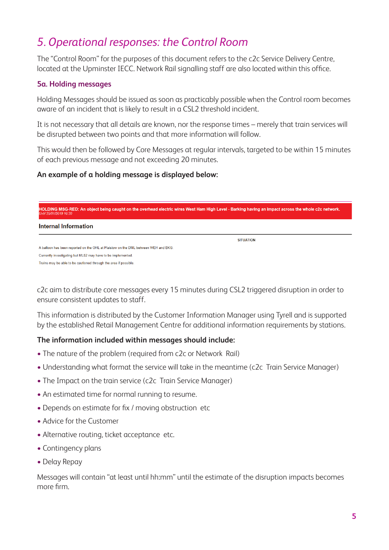## *5. Operational responses: the Control Room*

The "Control Room" for the purposes of this document refers to the c2c Service Delivery Centre, located at the Upminster IECC. Network Rail signalling staff are also located within this office.

#### **5a. Holding messages**

Holding Messages should be issued as soon as practicably possible when the Control room becomes aware of an incident that is likely to result in a CSL2 threshold incident.

It is not necessary that all details are known, nor the response times – merely that train services will be disrupted between two points and that more information will follow.

This would then be followed by Core Messages at regular intervals, targeted to be within 15 minutes of each previous message and not exceeding 20 minutes.

#### **An example of a holding message is displayed below:**

| HOLDING MSG-RED: An object being caught on the overhead electric wires West Ham High Level - Barking having an impact across the whole c2c network.<br>Until 25/01/2019 10:30 |                  |  |  |  |
|-------------------------------------------------------------------------------------------------------------------------------------------------------------------------------|------------------|--|--|--|
| Internal Information                                                                                                                                                          |                  |  |  |  |
|                                                                                                                                                                               | <b>SITUATION</b> |  |  |  |
| A balloon has been reported on the OHL at Plaistow on the DML between WEH and BKG.                                                                                            |                  |  |  |  |
| Currently investigating but ML02 may have to be implemented.                                                                                                                  |                  |  |  |  |
| Trains may be able to be cautioned through the area if possible                                                                                                               |                  |  |  |  |

c2c aim to distribute core messages every 15 minutes during CSL2 triggered disruption in order to ensure consistent updates to staff.

This information is distributed by the Customer Information Manager using Tyrell and is supported by the established Retail Management Centre for additional information requirements by stations.

#### **The information included within messages should include:**

- The nature of the problem (required from c2c or Network Rail)
- Understanding what format the service will take in the meantime (c2c Train Service Manager)
- The Impact on the train service (c2c Train Service Manager)
- An estimated time for normal running to resume.
- Depends on estimate for fix / moving obstruction etc
- Advice for the Customer
- Alternative routing, ticket acceptance etc.
- Contingency plans
- Delay Repay

Messages will contain "at least until hh:mm" until the estimate of the disruption impacts becomes more firm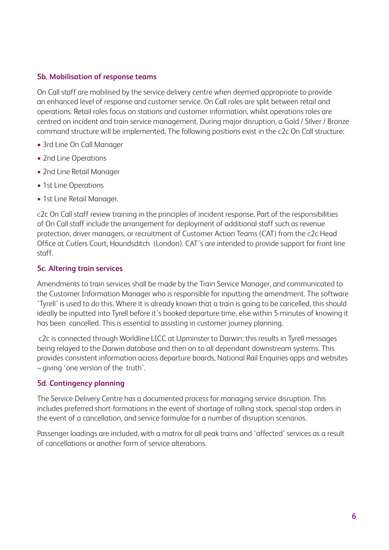#### **5b. Mobilisation of response teams**

On Call staff are mobilised by the service delivery centre when deemed appropriate to provide an enhanced level of response and customer service. On Call roles are split between retail and operations. Retail roles focus on stations and customer information, whilst operations roles are centred on incident and train service management. During major disruption, a Gold / Silver / Bronze command structure will be implemented. The following positions exist in the c2c On Call structure:

- 3rd Line On Call Manager
- 2nd Line Operations
- 2nd Line Retail Manager
- 1st Line Operations
- 1st Line Retail Manager.

c2c On Call staff review training in the principles of incident response. Part of the responsibilities of On Call staff include the arrangement for deployment of additional staff such as revenue protection, driver managers, or recruitment of Customer Action Teams (CAT) from the c2c Head Office at Cutlers Court, Houndsditch (London). CAT's are intended to provide support for front line staff.

#### **5c. Altering train services**

Amendments to train services shall be made by the Train Service Manager, and communicated to the Customer Information Manager who is responsible for inputting the amendment. The software 'Tyrell' is used to do this. Where it is already known that a train is going to be cancelled, this should ideally be inputted into Tyrell before it's booked departure time, else within 5 minutes of knowing it has been cancelled. This is essential to assisting in customer journey planning.

 c2c is connected through Worldline LICC at Upminster to Darwin; this results in Tyrell messages being relayed to the Darwin database and then on to all dependant downstream systems. This provides consistent information across departure boards, National Rail Enquiries apps and websites – giving 'one version of the truth'.

#### **5d. Contingency planning**

The Service Delivery Centre has a documented process for managing service disruption. This includes preferred short-formations in the event of shortage of rolling stock, special stop orders in the event of a cancellation, and service formulae for a number of disruption scenarios.

Passenger loadings are included, with a matrix for all peak trains and 'affected' services as a result of cancellations or another form of service alterations.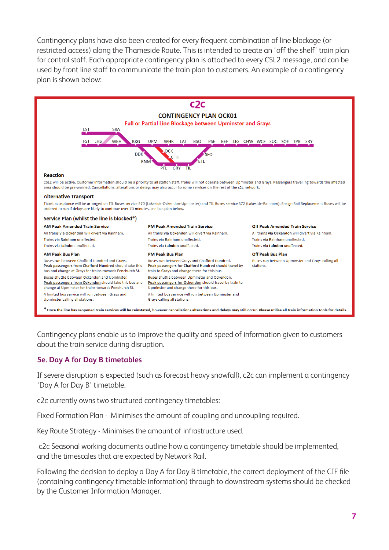Contingency plans have also been created for every frequent combination of line blockage (or restricted access) along the Thameside Route. This is intended to create an 'off the shelf' train plan for control staff. Each appropriate contingency plan is attached to every CSL2 message, and can be used by front line staff to communicate the train plan to customers. An example of a contingency plan is shown below:



Contingency plans enable us to improve the quality and speed of information given to customers about the train service during disruption.

#### **5e. Day A for Day B timetables**

If severe disruption is expected (such as forecast heavy snowfall), c2c can implement a contingency 'Day A for Day B' timetable.

c2c currently owns two structured contingency timetables:

Fixed Formation Plan - Minimises the amount of coupling and uncoupling required.

Key Route Strategy - Minimises the amount of infrastructure used.

 c2c Seasonal working documents outline how a contingency timetable should be implemented, and the timescales that are expected by Network Rail.

Following the decision to deploy a Day A for Day B timetable, the correct deployment of the CIF file (containing contingency timetable information) through to downstream systems should be checked by the Customer Information Manager.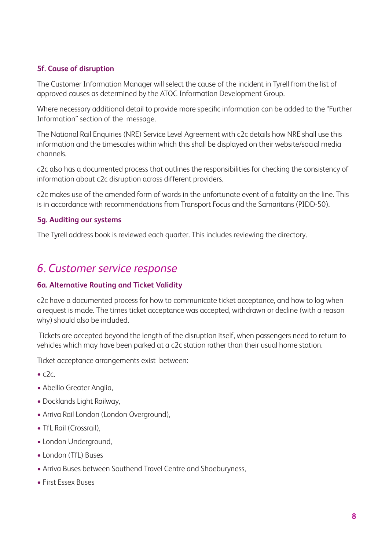#### **5f. Cause of disruption**

The Customer Information Manager will select the cause of the incident in Tyrell from the list of approved causes as determined by the ATOC Information Development Group.

Where necessary additional detail to provide more specific information can be added to the "Further Information" section of the message.

The National Rail Enquiries (NRE) Service Level Agreement with c2c details how NRE shall use this information and the timescales within which this shall be displayed on their website/social media channels.

c2c also has a documented process that outlines the responsibilities for checking the consistency of information about c2c disruption across different providers.

c2c makes use of the amended form of words in the unfortunate event of a fatality on the line. This is in accordance with recommendations from Transport Focus and the Samaritans (PIDD-50).

#### **5g. Auditing our systems**

The Tyrell address book is reviewed each quarter. This includes reviewing the directory.

## *6. Customer service response*

#### **6a. Alternative Routing and Ticket Validity**

c2c have a documented process for how to communicate ticket acceptance, and how to log when a request is made. The times ticket acceptance was accepted, withdrawn or decline (with a reason why) should also be included.

 Tickets are accepted beyond the length of the disruption itself, when passengers need to return to vehicles which may have been parked at a c2c station rather than their usual home station.

Ticket acceptance arrangements exist between:

- $\bullet$  c2c.
- Abellio Greater Anglia,
- Docklands Light Railway,
- Arriva Rail London (London Overground),
- TfL Rail (Crossrail),
- London Underground,
- London (TfL) Buses
- Arriva Buses between Southend Travel Centre and Shoeburyness,
- First Essex Buses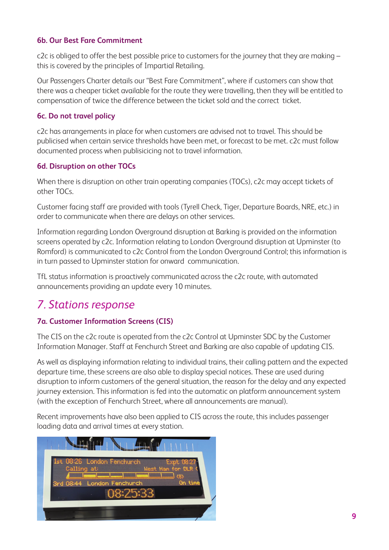#### **6b. Our Best Fare Commitment**

c2c is obliged to offer the best possible price to customers for the journey that they are making this is covered by the principles of Impartial Retailing.

Our Passengers Charter details our "Best Fare Commitment", where if customers can show that there was a cheaper ticket available for the route they were travelling, then they will be entitled to compensation of twice the difference between the ticket sold and the correct ticket.

#### **6c. Do not travel policy**

c2c has arrangements in place for when customers are advised not to travel. This should be publicised when certain service thresholds have been met, or forecast to be met. c2c must follow documented process when publisicicing not to travel information.

#### **6d. Disruption on other TOCs**

When there is disruption on other train operating companies (TOCs), c2c may accept tickets of other TOCs.

Customer facing staff are provided with tools (Tyrell Check, Tiger, Departure Boards, NRE, etc.) in order to communicate when there are delays on other services.

Information regarding London Overground disruption at Barking is provided on the information screens operated by c2c. Information relating to London Overground disruption at Upminster (to Romford) is communicated to c2c Control from the London Overground Control; this information is in turn passed to Upminster station for onward communication.

TfL status information is proactively communicated across the c2c route, with automated announcements providing an update every 10 minutes.

## *7. Stations response*

#### **7a. Customer Information Screens (CIS)**

The CIS on the c2c route is operated from the c2c Control at Upminster SDC by the Customer Information Manager. Staff at Fenchurch Street and Barking are also capable of updating CIS.

As well as displaying information relating to individual trains, their calling pattern and the expected departure time, these screens are also able to display special notices. These are used during disruption to inform customers of the general situation, the reason for the delay and any expected journey extension. This information is fed into the automatic on platform announcement system (with the exception of Fenchurch Street, where all announcements are manual).

Recent improvements have also been applied to CIS across the route, this includes passenger loading data and arrival times at every station.

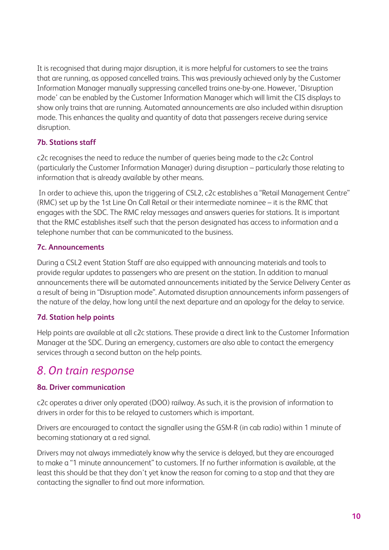It is recognised that during major disruption, it is more helpful for customers to see the trains that are running, as opposed cancelled trains. This was previously achieved only by the Customer Information Manager manually suppressing cancelled trains one-by-one. However, 'Disruption mode' can be enabled by the Customer Information Manager which will limit the CIS displays to show only trains that are running. Automated announcements are also included within disruption mode. This enhances the quality and quantity of data that passengers receive during service disruption.

#### **7b. Stations staff**

c2c recognises the need to reduce the number of queries being made to the c2c Control (particularly the Customer Information Manager) during disruption – particularly those relating to information that is already available by other means.

 In order to achieve this, upon the triggering of CSL2, c2c establishes a "Retail Management Centre" (RMC) set up by the 1st Line On Call Retail or their intermediate nominee – it is the RMC that engages with the SDC. The RMC relay messages and answers queries for stations. It is important that the RMC establishes itself such that the person designated has access to information and a telephone number that can be communicated to the business.

#### **7c. Announcements**

During a CSL2 event Station Staff are also equipped with announcing materials and tools to provide regular updates to passengers who are present on the station. In addition to manual announcements there will be automated announcements initiated by the Service Delivery Center as a result of being in "Disruption mode". Automated disruption announcements inform passengers of the nature of the delay, how long until the next departure and an apology for the delay to service.

#### **7d. Station help points**

Help points are available at all c2c stations. These provide a direct link to the Customer Information Manager at the SDC. During an emergency, customers are also able to contact the emergency services through a second button on the help points.

## *8. On train response*

#### **8a. Driver communication**

c2c operates a driver only operated (DOO) railway. As such, it is the provision of information to drivers in order for this to be relayed to customers which is important.

Drivers are encouraged to contact the signaller using the GSM-R (in cab radio) within 1 minute of becoming stationary at a red signal.

Drivers may not always immediately know why the service is delayed, but they are encouraged to make a "1 minute announcement" to customers. If no further information is available, at the least this should be that they don't yet know the reason for coming to a stop and that they are contacting the signaller to find out more information.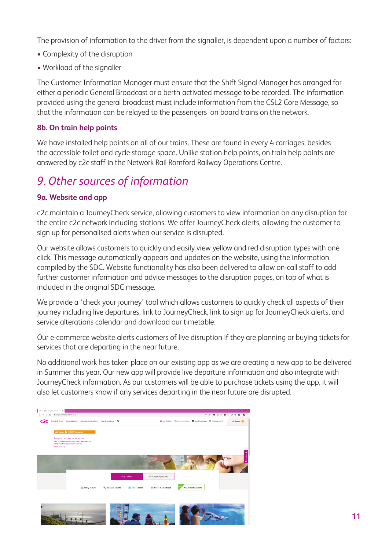The provision of information to the driver from the signaller, is dependent upon a number of factors:

- Complexity of the disruption
- Workload of the signaller

The Customer Information Manager must ensure that the Shift Signal Manager has arranged for either a periodic General Broadcast or a berth-activated message to be recorded. The information provided using the general broadcast must include information from the CSL2 Core Message, so that the information can be relayed to the passengers on board trains on the network.

#### **8b. On train help points**

We have installed help points on all of our trains. These are found in every 4 carriages, besides the accessible toilet and cycle storage space. Unlike station help points, on train help points are answered by c2c staff in the Network Rail Romford Railway Operations Centre.

## *9. Other sources of information*

#### **9a. Website and app**

c2c maintain a JourneyCheck service, allowing customers to view information on any disruption for the entire c2c network including stations. We offer JourneyCheck alerts, allowing the customer to sign up for personalised alerts when our service is disrupted.

Our website allows customers to quickly and easily view yellow and red disruption types with one click. This message automatically appears and updates on the website, using the information compiled by the SDC. Website functionality has also been delivered to allow on-call staff to add further customer information and advice messages to the disruption pages, on top of what is included in the original SDC message.

We provide a 'check your journey' tool which allows customers to quickly check all aspects of their journey including live departures, link to JourneyCheck, link to sign up for JourneyCheck alerts, and service alterations calendar and download our timetable.

Our e-commerce website alerts customers of live disruption if they are planning or buying tickets for services that are departing in the near future.

No additional work has taken place on our existing app as we are creating a new app to be delivered in Summer this year. Our new app will provide live departure information and also integrate with JourneyCheck information. As our customers will be able to purchase tickets using the app, it will also let customers know if any services departing in the near future are disrupted.

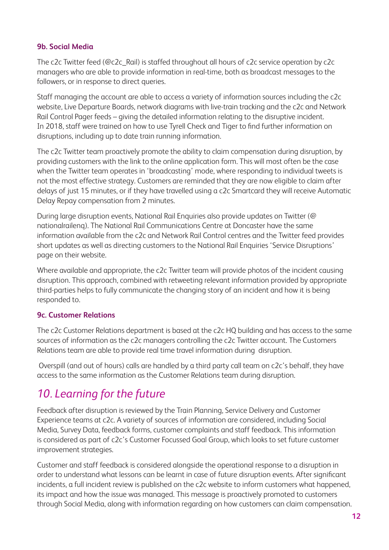#### **9b. Social Media**

The c2c Twitter feed (@c2c\_Rail) is staffed throughout all hours of c2c service operation by c2c managers who are able to provide information in real-time, both as broadcast messages to the followers, or in response to direct queries.

Staff managing the account are able to access a variety of information sources including the c2c website, Live Departure Boards, network diagrams with live-train tracking and the c2c and Network Rail Control Pager feeds – giving the detailed information relating to the disruptive incident. In 2018, staff were trained on how to use Tyrell Check and Tiger to find further information on disruptions, including up to date train running information.

The c2c Twitter team proactively promote the ability to claim compensation during disruption, by providing customers with the link to the online application form. This will most often be the case when the Twitter team operates in 'broadcasting' mode, where responding to individual tweets is not the most effective strategy. Customers are reminded that they are now eligible to claim after delays of just 15 minutes, or if they have travelled using a c2c Smartcard they will receive Automatic Delay Repay compensation from 2 minutes.

During large disruption events, National Rail Enquiries also provide updates on Twitter (@ nationalrailenq). The National Rail Communications Centre at Doncaster have the same information available from the c2c and Network Rail Control centres and the Twitter feed provides short updates as well as directing customers to the National Rail Enquiries 'Service Disruptions' page on their website.

Where available and appropriate, the c2c Twitter team will provide photos of the incident causing disruption. This approach, combined with retweeting relevant information provided by appropriate third-parties helps to fully communicate the changing story of an incident and how it is being responded to.

#### **9c. Customer Relations**

The c2c Customer Relations department is based at the c2c HQ building and has access to the same sources of information as the c2c managers controlling the c2c Twitter account. The Customers Relations team are able to provide real time travel information during disruption.

 Overspill (and out of hours) calls are handled by a third party call team on c2c's behalf, they have access to the same information as the Customer Relations team during disruption.

## *10. Learning for the future*

Feedback after disruption is reviewed by the Train Planning, Service Delivery and Customer Experience teams at c2c. A variety of sources of information are considered, including Social Media, Survey Data, feedback forms, customer complaints and staff feedback. This information is considered as part of c2c's Customer Focussed Goal Group, which looks to set future customer improvement strategies.

Customer and staff feedback is considered alongside the operational response to a disruption in order to understand what lessons can be learnt in case of future disruption events. After significant incidents, a full incident review is published on the c2c website to inform customers what happened, its impact and how the issue was managed. This message is proactively promoted to customers through Social Media, along with information regarding on how customers can claim compensation.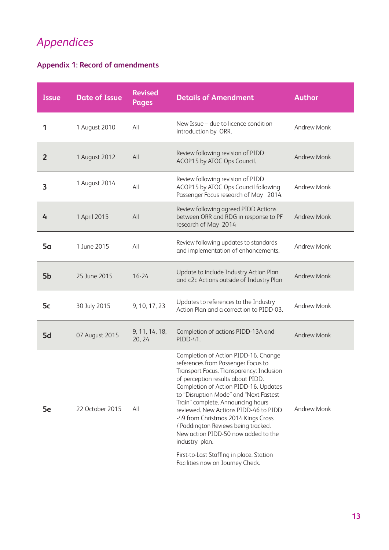## *Appendices*

## **Appendix 1: Record of amendments**

| <b>Issue</b>   | <b>Date of Issue</b> | <b>Revised</b><br>Pages  | <b>Details of Amendment</b>                                                                                                                                                                                                                                                                                                                                                                                                                                                                                                                         | <b>Author</b>      |
|----------------|----------------------|--------------------------|-----------------------------------------------------------------------------------------------------------------------------------------------------------------------------------------------------------------------------------------------------------------------------------------------------------------------------------------------------------------------------------------------------------------------------------------------------------------------------------------------------------------------------------------------------|--------------------|
| 1              | 1 August 2010        | All                      | New Issue - due to licence condition<br>introduction by ORR.                                                                                                                                                                                                                                                                                                                                                                                                                                                                                        | <b>Andrew Monk</b> |
| $\overline{2}$ | 1 August 2012        | All                      | Review following revision of PIDD<br>ACOP15 by ATOC Ops Council.                                                                                                                                                                                                                                                                                                                                                                                                                                                                                    | <b>Andrew Monk</b> |
| 3              | 1 August 2014        | All                      | Review following revision of PIDD<br>ACOP15 by ATOC Ops Council following<br>Passenger Focus research of May 2014.                                                                                                                                                                                                                                                                                                                                                                                                                                  | Andrew Monk        |
| 4              | 1 April 2015         | All                      | Review following agreed PIDD Actions<br>between ORR and RDG in response to PF<br>research of May 2014                                                                                                                                                                                                                                                                                                                                                                                                                                               | <b>Andrew Monk</b> |
| 5a             | 1 June 2015          | All                      | Review following updates to standards<br>and implementation of enhancements.                                                                                                                                                                                                                                                                                                                                                                                                                                                                        | Andrew Monk        |
| 5b             | 25 June 2015         | $16 - 24$                | Update to include Industry Action Plan<br>and c2c Actions outside of Industry Plan                                                                                                                                                                                                                                                                                                                                                                                                                                                                  | <b>Andrew Monk</b> |
| 5c             | 30 July 2015         | 9, 10, 17, 23            | Updates to references to the Industry<br>Action Plan and a correction to PIDD-03.                                                                                                                                                                                                                                                                                                                                                                                                                                                                   | Andrew Monk        |
| 5d             | 07 August 2015       | 9, 11, 14, 18,<br>20, 24 | Completion of actions PIDD-13A and<br>PIDD-41.                                                                                                                                                                                                                                                                                                                                                                                                                                                                                                      | <b>Andrew Monk</b> |
| 5e             | 22 October 2015      | All                      | Completion of Action PIDD-16. Change<br>references from Passenger Focus to<br>Transport Focus. Transparency: Inclusion<br>of perception results about PIDD.<br>Completion of Action PIDD-16. Updates<br>to "Disruption Mode" and "Next Fastest<br>Train" complete. Announcing hours<br>reviewed. New Actions PIDD-46 to PIDD<br>-49 from Christmas 2014 Kings Cross<br>/ Paddington Reviews being tracked.<br>New action PIDD-50 now added to the<br>industry plan.<br>First-to-Last Staffing in place. Station<br>Facilities now on Journey Check. | Andrew Monk        |